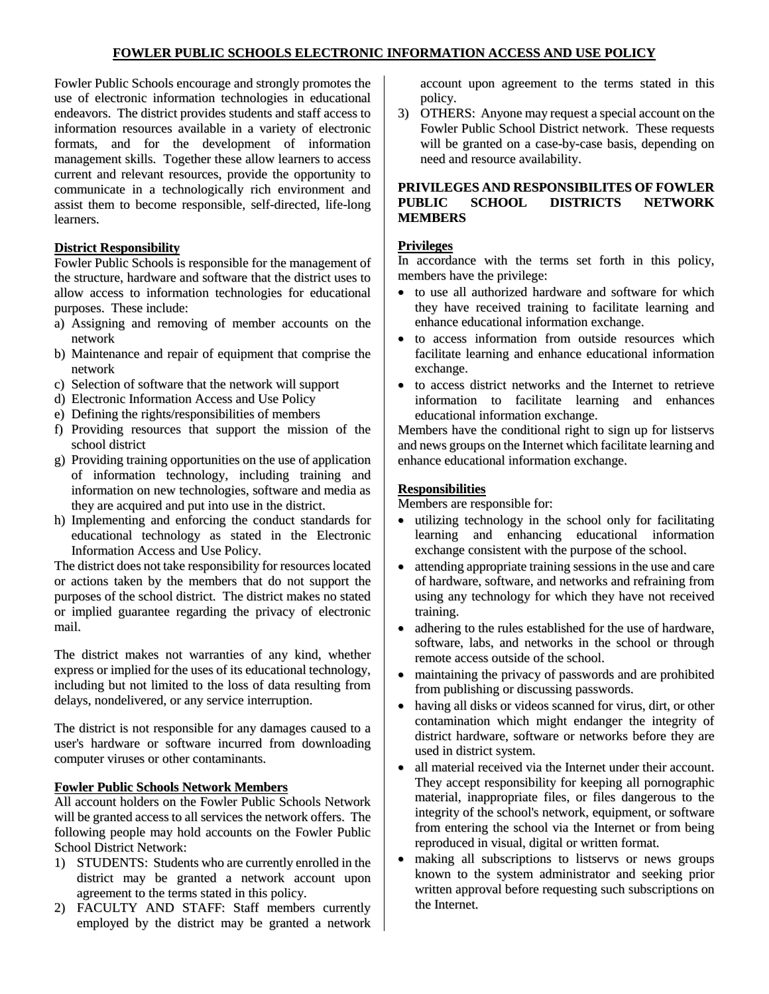Fowler Public Schools encourage and strongly promotes the use of electronic information technologies in educational endeavors. The district provides students and staff access to information resources available in a variety of electronic formats, and for the development of information management skills. Together these allow learners to access current and relevant resources, provide the opportunity to communicate in a technologically rich environment and assist them to become responsible, self-directed, life-long learners.

### **District Responsibility**

Fowler Public Schools is responsible for the management of the structure, hardware and software that the district uses to allow access to information technologies for educational purposes. These include:

- a) Assigning and removing of member accounts on the network
- b) Maintenance and repair of equipment that comprise the network
- c) Selection of software that the network will support
- d) Electronic Information Access and Use Policy
- e) Defining the rights/responsibilities of members
- f) Providing resources that support the mission of the school district
- g) Providing training opportunities on the use of application of information technology, including training and information on new technologies, software and media as they are acquired and put into use in the district.
- h) Implementing and enforcing the conduct standards for educational technology as stated in the Electronic Information Access and Use Policy.

The district does not take responsibility for resources located or actions taken by the members that do not support the purposes of the school district. The district makes no stated or implied guarantee regarding the privacy of electronic mail.

The district makes not warranties of any kind, whether express or implied for the uses of its educational technology, including but not limited to the loss of data resulting from delays, nondelivered, or any service interruption.

The district is not responsible for any damages caused to a user's hardware or software incurred from downloading computer viruses or other contaminants.

# **Fowler Public Schools Network Members**

All account holders on the Fowler Public Schools Network will be granted access to all services the network offers. The following people may hold accounts on the Fowler Public School District Network:

- 1) STUDENTS: Students who are currently enrolled in the district may be granted a network account upon agreement to the terms stated in this policy.
- 2) FACULTY AND STAFF: Staff members currently employed by the district may be granted a network

account upon agreement to the terms stated in this policy.

3) OTHERS: Anyone may request a special account on the Fowler Public School District network. These requests will be granted on a case-by-case basis, depending on need and resource availability.

### **PRIVILEGES AND RESPONSIBILITES OF FOWLER PUBLIC SCHOOL DISTRICTS NETWORK MEMBERS**

#### **Privileges**

In accordance with the terms set forth in this policy, members have the privilege:

- to use all authorized hardware and software for which they have received training to facilitate learning and enhance educational information exchange.
- to access information from outside resources which facilitate learning and enhance educational information exchange.
- to access district networks and the Internet to retrieve information to facilitate learning and enhances educational information exchange.

Members have the conditional right to sign up for listservs and news groups on the Internet which facilitate learning and enhance educational information exchange.

### **Responsibilities**

Members are responsible for:

- utilizing technology in the school only for facilitating learning and enhancing educational information exchange consistent with the purpose of the school.
- attending appropriate training sessions in the use and care of hardware, software, and networks and refraining from using any technology for which they have not received training.
- adhering to the rules established for the use of hardware, software, labs, and networks in the school or through remote access outside of the school.
- maintaining the privacy of passwords and are prohibited from publishing or discussing passwords.
- having all disks or videos scanned for virus, dirt, or other contamination which might endanger the integrity of district hardware, software or networks before they are used in district system.
- all material received via the Internet under their account. They accept responsibility for keeping all pornographic material, inappropriate files, or files dangerous to the integrity of the school's network, equipment, or software from entering the school via the Internet or from being reproduced in visual, digital or written format.
- making all subscriptions to listservs or news groups known to the system administrator and seeking prior written approval before requesting such subscriptions on the Internet.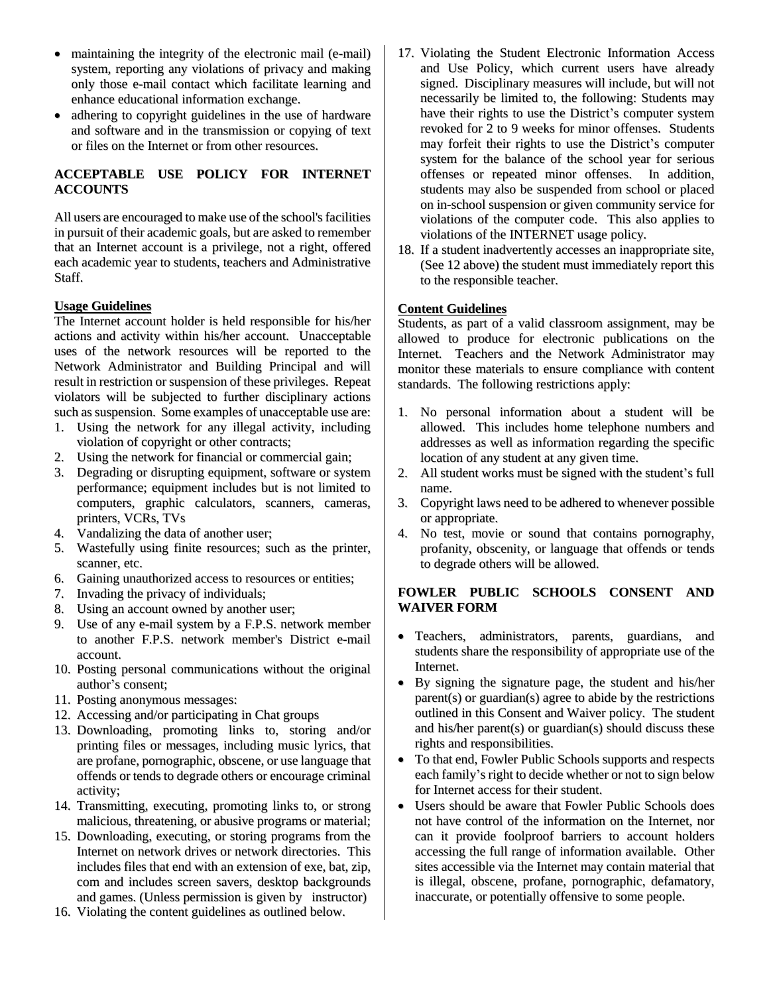- maintaining the integrity of the electronic mail (e-mail) system, reporting any violations of privacy and making only those e-mail contact which facilitate learning and enhance educational information exchange.
- adhering to copyright guidelines in the use of hardware and software and in the transmission or copying of text or files on the Internet or from other resources.

# **ACCEPTABLE USE POLICY FOR INTERNET ACCOUNTS**

All users are encouraged to make use of the school's facilities in pursuit of their academic goals, but are asked to remember that an Internet account is a privilege, not a right, offered each academic year to students, teachers and Administrative Staff.

## **Usage Guidelines**

The Internet account holder is held responsible for his/her actions and activity within his/her account. Unacceptable uses of the network resources will be reported to the Network Administrator and Building Principal and will result in restriction or suspension of these privileges. Repeat violators will be subjected to further disciplinary actions such as suspension. Some examples of unacceptable use are:

- 1. Using the network for any illegal activity, including violation of copyright or other contracts;
- 2. Using the network for financial or commercial gain;
- 3. Degrading or disrupting equipment, software or system performance; equipment includes but is not limited to computers, graphic calculators, scanners, cameras, printers, VCRs, TVs
- 4. Vandalizing the data of another user;
- 5. Wastefully using finite resources; such as the printer, scanner, etc.
- 6. Gaining unauthorized access to resources or entities;
- 7. Invading the privacy of individuals;
- 8. Using an account owned by another user;
- 9. Use of any e-mail system by a F.P.S. network member to another F.P.S. network member's District e-mail account.
- 10. Posting personal communications without the original author's consent;
- 11. Posting anonymous messages:
- 12. Accessing and/or participating in Chat groups
- 13. Downloading, promoting links to, storing and/or printing files or messages, including music lyrics, that are profane, pornographic, obscene, or use language that offends or tends to degrade others or encourage criminal activity;
- 14. Transmitting, executing, promoting links to, or strong malicious, threatening, or abusive programs or material;
- 15. Downloading, executing, or storing programs from the Internet on network drives or network directories. This includes files that end with an extension of exe, bat, zip, com and includes screen savers, desktop backgrounds and games. (Unless permission is given by instructor)
- 16. Violating the content guidelines as outlined below.
- 17. Violating the Student Electronic Information Access and Use Policy, which current users have already signed. Disciplinary measures will include, but will not necessarily be limited to, the following: Students may have their rights to use the District's computer system revoked for 2 to 9 weeks for minor offenses. Students may forfeit their rights to use the District's computer system for the balance of the school year for serious offenses or repeated minor offenses. In addition, students may also be suspended from school or placed on in-school suspension or given community service for violations of the computer code. This also applies to violations of the INTERNET usage policy.
- 18. If a student inadvertently accesses an inappropriate site, (See 12 above) the student must immediately report this to the responsible teacher.

#### **Content Guidelines**

Students, as part of a valid classroom assignment, may be allowed to produce for electronic publications on the Internet. Teachers and the Network Administrator may monitor these materials to ensure compliance with content standards. The following restrictions apply:

- 1. No personal information about a student will be allowed. This includes home telephone numbers and addresses as well as information regarding the specific location of any student at any given time.
- 2. All student works must be signed with the student's full name.
- 3. Copyright laws need to be adhered to whenever possible or appropriate.
- 4. No test, movie or sound that contains pornography, profanity, obscenity, or language that offends or tends to degrade others will be allowed.

## **FOWLER PUBLIC SCHOOLS CONSENT AND WAIVER FORM**

- Teachers, administrators, parents, guardians, and students share the responsibility of appropriate use of the Internet.
- By signing the signature page, the student and his/her parent(s) or guardian(s) agree to abide by the restrictions outlined in this Consent and Waiver policy. The student and his/her parent(s) or guardian(s) should discuss these rights and responsibilities.
- To that end, Fowler Public Schools supports and respects each family's right to decide whether or not to sign below for Internet access for their student.
- Users should be aware that Fowler Public Schools does not have control of the information on the Internet, nor can it provide foolproof barriers to account holders accessing the full range of information available. Other sites accessible via the Internet may contain material that is illegal, obscene, profane, pornographic, defamatory, inaccurate, or potentially offensive to some people.